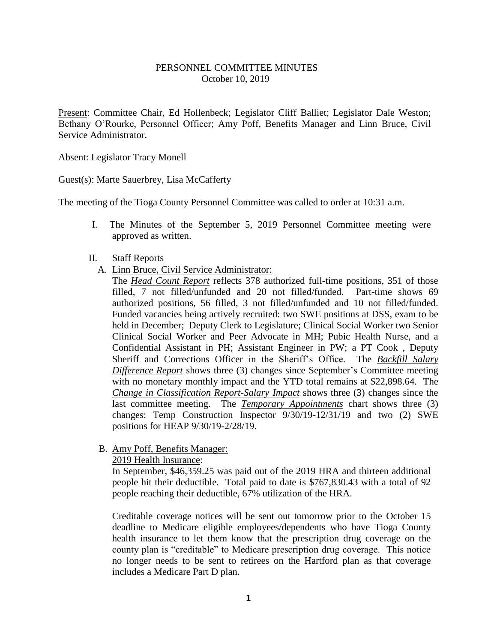## PERSONNEL COMMITTEE MINUTES October 10, 2019

Present: Committee Chair, Ed Hollenbeck; Legislator Cliff Balliet; Legislator Dale Weston; Bethany O'Rourke, Personnel Officer; Amy Poff, Benefits Manager and Linn Bruce, Civil Service Administrator.

Absent: Legislator Tracy Monell

Guest(s): Marte Sauerbrey, Lisa McCafferty

The meeting of the Tioga County Personnel Committee was called to order at 10:31 a.m.

- I. The Minutes of the September 5, 2019 Personnel Committee meeting were approved as written.
- II. Staff Reports
	- A. Linn Bruce, Civil Service Administrator:

The *Head Count Report* reflects 378 authorized full-time positions, 351 of those filled, 7 not filled/unfunded and 20 not filled/funded. Part-time shows 69 authorized positions, 56 filled, 3 not filled/unfunded and 10 not filled/funded. Funded vacancies being actively recruited: two SWE positions at DSS, exam to be held in December; Deputy Clerk to Legislature; Clinical Social Worker two Senior Clinical Social Worker and Peer Advocate in MH; Pubic Health Nurse, and a Confidential Assistant in PH; Assistant Engineer in PW; a PT Cook , Deputy Sheriff and Corrections Officer in the Sheriff's Office. The *Backfill Salary Difference Report* shows three (3) changes since September's Committee meeting with no monetary monthly impact and the YTD total remains at \$22,898.64. The *Change in Classification Report-Salary Impact* shows three (3) changes since the last committee meeting. The *Temporary Appointments* chart shows three (3) changes: Temp Construction Inspector 9/30/19-12/31/19 and two (2) SWE positions for HEAP 9/30/19-2/28/19.

B. Amy Poff, Benefits Manager:

2019 Health Insurance:

In September, \$46,359.25 was paid out of the 2019 HRA and thirteen additional people hit their deductible. Total paid to date is \$767,830.43 with a total of 92 people reaching their deductible, 67% utilization of the HRA.

Creditable coverage notices will be sent out tomorrow prior to the October 15 deadline to Medicare eligible employees/dependents who have Tioga County health insurance to let them know that the prescription drug coverage on the county plan is "creditable" to Medicare prescription drug coverage. This notice no longer needs to be sent to retirees on the Hartford plan as that coverage includes a Medicare Part D plan.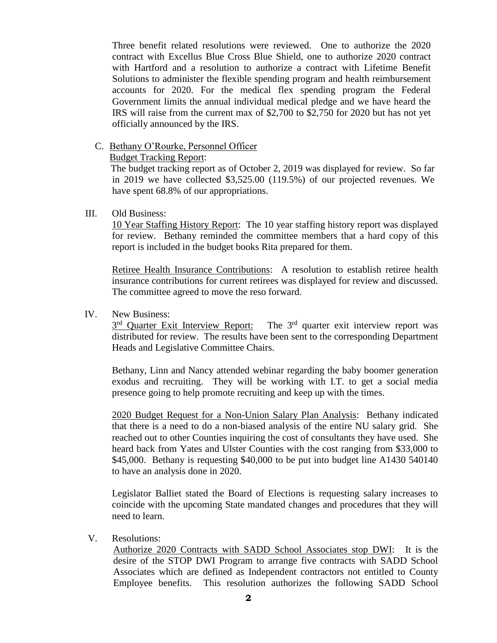Three benefit related resolutions were reviewed. One to authorize the 2020 contract with Excellus Blue Cross Blue Shield, one to authorize 2020 contract with Hartford and a resolution to authorize a contract with Lifetime Benefit Solutions to administer the flexible spending program and health reimbursement accounts for 2020. For the medical flex spending program the Federal Government limits the annual individual medical pledge and we have heard the IRS will raise from the current max of \$2,700 to \$2,750 for 2020 but has not yet officially announced by the IRS.

C. Bethany O'Rourke, Personnel Officer

Budget Tracking Report:

 The budget tracking report as of October 2, 2019 was displayed for review. So far in 2019 we have collected \$3,525.00 (119.5%) of our projected revenues. We have spent 68.8% of our appropriations.

## III. Old Business:

10 Year Staffing History Report: The 10 year staffing history report was displayed for review. Bethany reminded the committee members that a hard copy of this report is included in the budget books Rita prepared for them.

Retiree Health Insurance Contributions: A resolution to establish retiree health insurance contributions for current retirees was displayed for review and discussed. The committee agreed to move the reso forward.

## IV. New Business:

 $3<sup>rd</sup>$  Quarter Exit Interview Report: The  $3<sup>rd</sup>$  quarter exit interview report was distributed for review. The results have been sent to the corresponding Department Heads and Legislative Committee Chairs.

Bethany, Linn and Nancy attended webinar regarding the baby boomer generation exodus and recruiting. They will be working with I.T. to get a social media presence going to help promote recruiting and keep up with the times.

2020 Budget Request for a Non-Union Salary Plan Analysis: Bethany indicated that there is a need to do a non-biased analysis of the entire NU salary grid. She reached out to other Counties inquiring the cost of consultants they have used. She heard back from Yates and Ulster Counties with the cost ranging from \$33,000 to \$45,000. Bethany is requesting \$40,000 to be put into budget line A1430 540140 to have an analysis done in 2020.

Legislator Balliet stated the Board of Elections is requesting salary increases to coincide with the upcoming State mandated changes and procedures that they will need to learn.

V. Resolutions:

Authorize 2020 Contracts with SADD School Associates stop DWI:It is the desire of the STOP DWI Program to arrange five contracts with SADD School Associates which are defined as Independent contractors not entitled to County Employee benefits. This resolution authorizes the following SADD School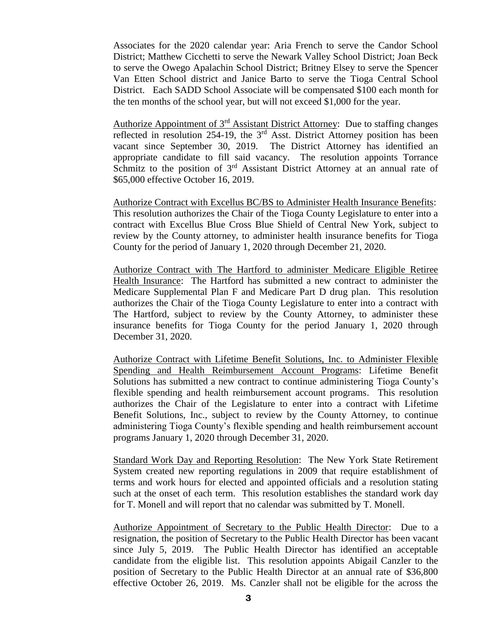Associates for the 2020 calendar year: Aria French to serve the Candor School District; Matthew Cicchetti to serve the Newark Valley School District; Joan Beck to serve the Owego Apalachin School District; Britney Elsey to serve the Spencer Van Etten School district and Janice Barto to serve the Tioga Central School District. Each SADD School Associate will be compensated \$100 each month for the ten months of the school year, but will not exceed \$1,000 for the year.

Authorize Appointment of 3rd Assistant District Attorney: Due to staffing changes reflected in resolution 254-19, the  $3<sup>rd</sup>$  Asst. District Attorney position has been vacant since September 30, 2019. The District Attorney has identified an appropriate candidate to fill said vacancy. The resolution appoints Torrance Schmitz to the position of 3<sup>rd</sup> Assistant District Attorney at an annual rate of \$65,000 effective October 16, 2019.

Authorize Contract with Excellus BC/BS to Administer Health Insurance Benefits: This resolution authorizes the Chair of the Tioga County Legislature to enter into a contract with Excellus Blue Cross Blue Shield of Central New York, subject to review by the County attorney, to administer health insurance benefits for Tioga County for the period of January 1, 2020 through December 21, 2020.

Authorize Contract with The Hartford to administer Medicare Eligible Retiree Health Insurance: The Hartford has submitted a new contract to administer the Medicare Supplemental Plan F and Medicare Part D drug plan. This resolution authorizes the Chair of the Tioga County Legislature to enter into a contract with The Hartford, subject to review by the County Attorney, to administer these insurance benefits for Tioga County for the period January 1, 2020 through December 31, 2020.

Authorize Contract with Lifetime Benefit Solutions, Inc. to Administer Flexible Spending and Health Reimbursement Account Programs: Lifetime Benefit Solutions has submitted a new contract to continue administering Tioga County's flexible spending and health reimbursement account programs. This resolution authorizes the Chair of the Legislature to enter into a contract with Lifetime Benefit Solutions, Inc., subject to review by the County Attorney, to continue administering Tioga County's flexible spending and health reimbursement account programs January 1, 2020 through December 31, 2020.

Standard Work Day and Reporting Resolution: The New York State Retirement System created new reporting regulations in 2009 that require establishment of terms and work hours for elected and appointed officials and a resolution stating such at the onset of each term. This resolution establishes the standard work day for T. Monell and will report that no calendar was submitted by T. Monell.

Authorize Appointment of Secretary to the Public Health Director: Due to a resignation, the position of Secretary to the Public Health Director has been vacant since July 5, 2019. The Public Health Director has identified an acceptable candidate from the eligible list. This resolution appoints Abigail Canzler to the position of Secretary to the Public Health Director at an annual rate of \$36,800 effective October 26, 2019. Ms. Canzler shall not be eligible for the across the